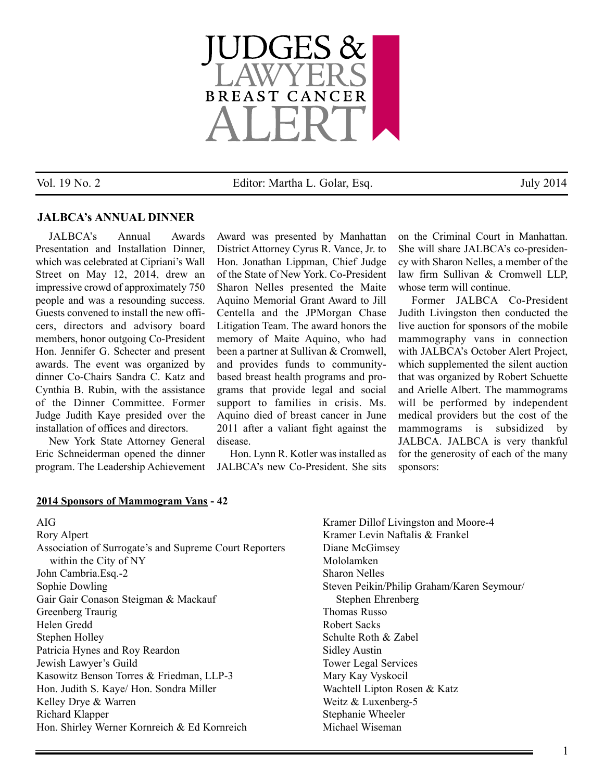

Vol. 19 No. 2 Editor: Martha L. Golar, Esq. July 2014

### **JALBCA's ANNUAL DINNER**

JALBCA's Annual Awards Presentation and Installation Dinner, which was celebrated at Cipriani's Wall Street on May 12, 2014, drew an impressive crowd of approximately 750 people and was a resounding success. Guests convened to install the new officers, directors and advisory board members, honor outgoing Co-President Hon. Jennifer G. Schecter and present awards. The event was organized by dinner Co-Chairs Sandra C. Katz and Cynthia B. Rubin, with the assistance of the Dinner Committee. Former Judge Judith Kaye presided over the installation of offices and directors.

New York State Attorney General Eric Schneiderman opened the dinner program. The Leadership Achievement

Award was presented by Manhattan District Attorney Cyrus R. Vance, Jr. to Hon. Jonathan Lippman, Chief Judge of the State of New York. Co-President Sharon Nelles presented the Maite Aquino Memorial Grant Award to Jill Centella and the JPMorgan Chase Litigation Team. The award honors the memory of Maite Aquino, who had been a partner at Sullivan & Cromwell, and provides funds to communitybased breast health programs and programs that provide legal and social support to families in crisis. Ms. Aquino died of breast cancer in June 2011 after a valiant fight against the disease.

Hon. Lynn R. Kotler was installed as JALBCA's new Co-President. She sits on the Criminal Court in Manhattan. She will share JALBCA's co-presidency with Sharon Nelles, a member of the law firm Sullivan & Cromwell LLP, whose term will continue.

Former JALBCA Co-President Judith Livingston then conducted the live auction for sponsors of the mobile mammography vans in connection with JALBCA's October Alert Project, which supplemented the silent auction that was organized by Robert Schuette and Arielle Albert. The mammograms will be performed by independent medical providers but the cost of the mammograms is subsidized by JALBCA. JALBCA is very thankful for the generosity of each of the many sponsors:

### **2014 Sponsors of Mammogram Vans - 42**

AIG Rory Alpert Association of Surrogate's and Supreme Court Reporters within the City of NY John Cambria.Esq.-2 Sophie Dowling Gair Gair Conason Steigman & Mackauf Greenberg Traurig Helen Gredd Stephen Holley Patricia Hynes and Roy Reardon Jewish Lawyer's Guild Kasowitz Benson Torres & Friedman, LLP-3 Hon. Judith S. Kaye/ Hon. Sondra Miller Kelley Drye & Warren Richard Klapper Hon. Shirley Werner Kornreich & Ed Kornreich

Kramer Dillof Livingston and Moore-4 Kramer Levin Naftalis & Frankel Diane McGimsey Mololamken Sharon Nelles Steven Peikin/Philip Graham/Karen Seymour/ Stephen Ehrenberg Thomas Russo Robert Sacks Schulte Roth & Zabel Sidley Austin Tower Legal Services Mary Kay Vyskocil Wachtell Lipton Rosen & Katz Weitz & Luxenberg-5 Stephanie Wheeler Michael Wiseman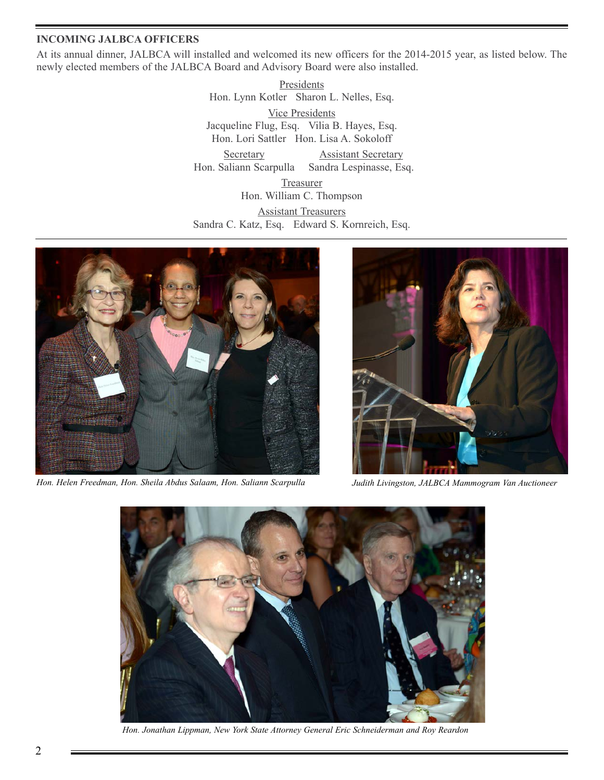### **INCOMING JALBCA OFFICERS**

At its annual dinner, JALBCA will installed and welcomed its new officers for the 2014-2015 year, as listed below. The newly elected members of the JALBCA Board and Advisory Board were also installed.

> **Presidents** Hon. Lynn Kotler Sharon L. Nelles, Esq. Vice Presidents Jacqueline Flug, Esq. Vilia B. Hayes, Esq. Hon. Lori Sattler Hon. Lisa A. Sokoloff

Secretary **Assistant Secretary** Hon. Saliann Scarpulla Sandra Lespinasse, Esq.

Treasurer Hon. William C. Thompson Assistant Treasurers Sandra C. Katz, Esq. Edward S. Kornreich, Esq.



*Hon. Helen Freedman, Hon. Sheila Abdus Salaam, Hon. Saliann Scarpulla Judith Livingston, JALBCA Mammogram Van Auctioneer*





*Hon. Jonathan Lippman, New York State Attorney General Eric Schneiderman and Roy Reardon*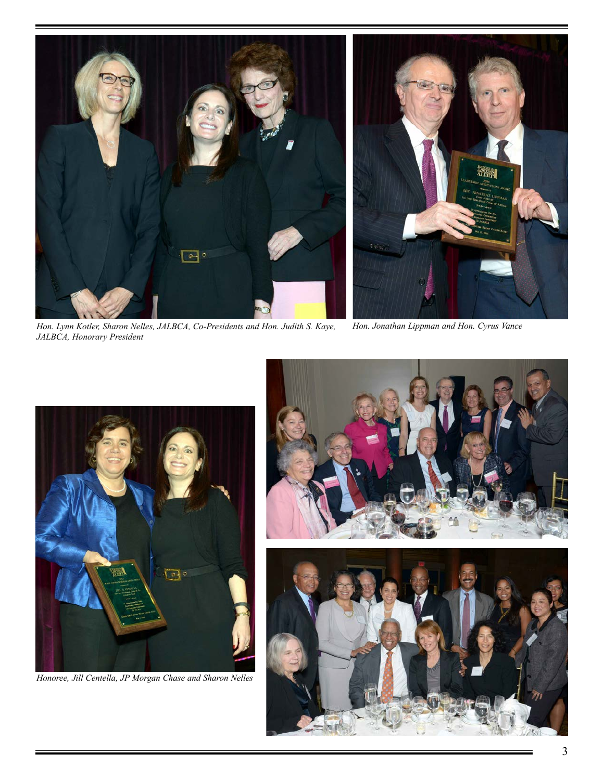

*Hon. Lynn Kotler, Sharon Nelles, JALBCA, Co-Presidents and Hon. Judith S. Kaye, JALBCA, Honorary President*

*Hon. Jonathan Lippman and Hon. Cyrus Vance*



*Honoree, Jill Centella, JP Morgan Chase and Sharon Nelles*

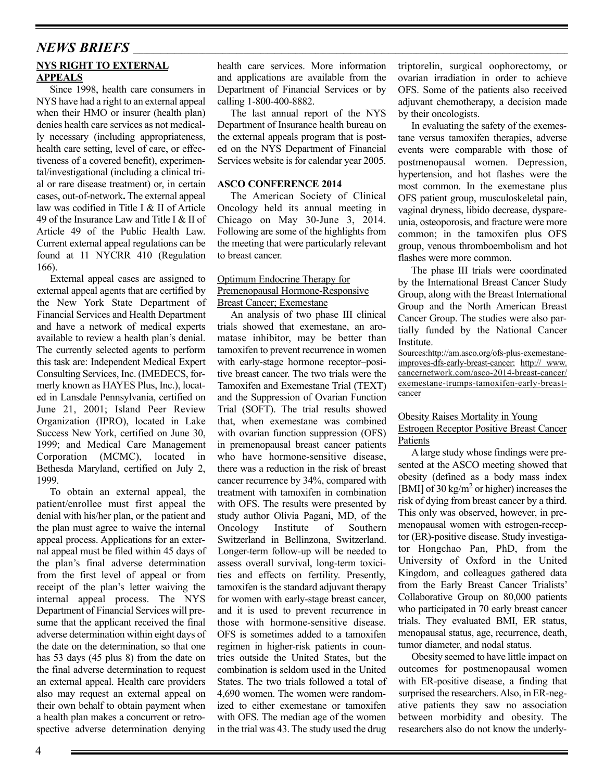## **NYS RIGHT TO EXTERNAL APPEALS** *NEWS BRIEFS* \_\_\_\_\_\_\_\_\_\_\_\_\_\_\_\_\_\_\_\_\_\_\_\_\_\_\_\_\_\_\_\_\_\_\_\_\_\_\_\_\_\_\_\_\_\_\_\_\_\_\_\_\_\_\_\_\_\_\_\_\_\_\_\_\_\_\_\_\_\_\_\_\_\_\_\_\_\_\_\_\_\_\_\_\_\_\_\_\_\_\_\_\_\_\_\_\_\_\_\_\_\_\_\_\_\_\_\_\_\_\_\_\_\_\_\_\_\_\_\_\_\_\_\_\_\_

Since 1998, health care consumers in NYS have had a right to an external appeal when their HMO or insurer (health plan) denies health care services as not medically necessary (including appropriateness, health care setting, level of care, or effectiveness of a covered benefit), experimental/investigational (including a clinical trial or rare disease treatment) or, in certain cases, out-of-network**.** The external appeal law was codified in Title I & II of Article 49 of the Insurance Law and Title I & II of Article 49 of the Public Health Law. Current external appeal regulations can be found at 11 NYCRR 410 (Regulation 166).

External appeal cases are assigned to external appeal agents that are certified by the New York State Department of Financial Services and Health Department and have a network of medical experts available to review a health plan's denial. The currently selected agents to perform this task are: Independent Medical Expert Consulting Services, Inc. (IMEDECS, formerly known as HAYES Plus, Inc.), located in Lansdale Pennsylvania, certified on June 21, 2001; Island Peer Review Organization (IPRO), located in Lake Success New York, certified on June 30, 1999; and Medical Care Management Corporation (MCMC), located in Bethesda Maryland, certified on July 2, 1999.

To obtain an external appeal, the patient/enrollee must first appeal the denial with his/her plan, or the patient and the plan must agree to waive the internal appeal process. Applications for an external appeal must be filed within 45 days of the plan's final adverse determination from the first level of appeal or from receipt of the plan's letter waiving the internal appeal process. The NYS Department of Financial Services will presume that the applicant received the final adverse determination within eight days of the date on the determination, so that one has 53 days (45 plus 8) from the date on the final adverse determination to request an external appeal. Health care providers also may request an external appeal on their own behalf to obtain payment when a health plan makes a concurrent or retrospective adverse determination denying

health care services. More information and applications are available from the Department of Financial Services or by calling 1-800-400-8882.

The last annual report of the NYS Department of Insurance health bureau on the external appeals program that is posted on the NYS Department of Financial Services website is for calendar year 2005.

### **ASCO CONFERENCE 2014**

The American Society of Clinical Oncology held its annual meeting in Chicago on May 30-June 3, 2014. Following are some of the highlights from the meeting that were particularly relevant to breast cancer.

#### Optimum Endocrine Therapy for Premenopausal Hormone-Responsive Breast Cancer; Exemestane

An analysis of two phase III clinical trials showed that exemestane, an aromatase inhibitor, may be better than tamoxifen to prevent recurrence in women with early-stage hormone receptor–positive breast cancer. The two trials were the Tamoxifen and Exemestane Trial (TEXT) and the Suppression of Ovarian Function Trial (SOFT). The trial results showed that, when exemestane was combined with ovarian function suppression (OFS) in premenopausal breast cancer patients who have hormone-sensitive disease, there was a reduction in the risk of breast cancer recurrence by 34%, compared with treatment with tamoxifen in combination with OFS. The results were presented by study author Olivia Pagani, MD, of the Oncology Institute of Southern Switzerland in Bellinzona, Switzerland. Longer-term follow-up will be needed to assess overall survival, long-term toxicities and effects on fertility. Presently, tamoxifen is the standard adjuvant therapy for women with early-stage breast cancer, and it is used to prevent recurrence in those with hormone-sensitive disease. OFS is sometimes added to a tamoxifen regimen in higher-risk patients in countries outside the United States, but the combination is seldom used in the United States. The two trials followed a total of 4,690 women. The women were randomized to either exemestane or tamoxifen with OFS. The median age of the women in the trial was 43. The study used the drug

triptorelin, surgical oophorectomy, or ovarian irradiation in order to achieve OFS. Some of the patients also received adjuvant chemotherapy, a decision made by their oncologists.

In evaluating the safety of the exemestane versus tamoxifen therapies, adverse events were comparable with those of postmenopausal women. Depression, hypertension, and hot flashes were the most common. In the exemestane plus OFS patient group, musculoskeletal pain, vaginal dryness, libido decrease, dyspareunia, osteoporosis, and fracture were more common; in the tamoxifen plus OFS group, venous thromboembolism and hot flashes were more common.

The phase III trials were coordinated by the International Breast Cancer Study Group, along with the Breast International Group and the North American Breast Cancer Group. The studies were also partially funded by the National Cancer Institute.

Sources:http://am.asco.org/ofs-plus-exemestaneimproves-dfs-early-breast-cancer; http:// www. cancernetwork.com/asco-2014-breast-cancer/ exemestane-trumps-tamoxifen-early-breastcancer

### Obesity Raises Mortality in Young Estrogen Receptor Positive Breast Cancer Patients

A large study whose findings were presented at the ASCO meeting showed that obesity (defined as a body mass index [BMI] of 30 kg/m<sup>2</sup> or higher) increases the risk of dying from breast cancer by a third. This only was observed, however, in premenopausal women with estrogen-receptor (ER)-positive disease. Study investigator Hongchao Pan, PhD, from the University of Oxford in the United Kingdom, and colleagues gathered data from the Early Breast Cancer Trialists' Collaborative Group on 80,000 patients who participated in 70 early breast cancer trials. They evaluated BMI, ER status, menopausal status, age, recurrence, death, tumor diameter, and nodal status.

Obesity seemed to have little impact on outcomes for postmenopausal women with ER-positive disease, a finding that surprised the researchers. Also, in ER-negative patients they saw no association between morbidity and obesity. The researchers also do not know the underly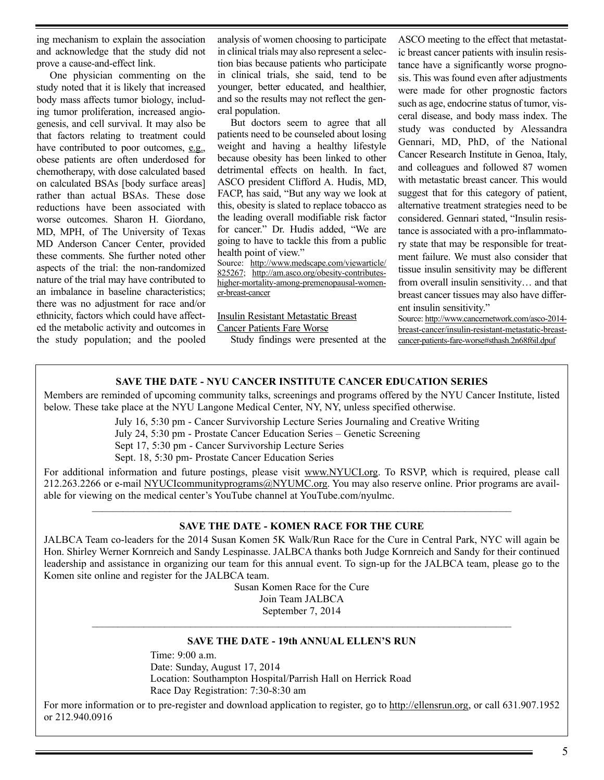ing mechanism to explain the association and acknowledge that the study did not prove a cause-and-effect link.

One physician commenting on the study noted that it is likely that increased body mass affects tumor biology, including tumor proliferation, increased angiogenesis, and cell survival. It may also be that factors relating to treatment could have contributed to poor outcomes, e.g., obese patients are often underdosed for chemotherapy, with dose calculated based on calculated BSAs [body surface areas] rather than actual BSAs. These dose reductions have been associated with worse outcomes. Sharon H. Giordano, MD, MPH, of The University of Texas MD Anderson Cancer Center, provided these comments. She further noted other aspects of the trial: the non-randomized nature of the trial may have contributed to an imbalance in baseline characteristics; there was no adjustment for race and/or ethnicity, factors which could have affected the metabolic activity and outcomes in the study population; and the pooled analysis of women choosing to participate in clinical trials may also represent a selection bias because patients who participate in clinical trials, she said, tend to be younger, better educated, and healthier, and so the results may not reflect the general population.

But doctors seem to agree that all patients need to be counseled about losing weight and having a healthy lifestyle because obesity has been linked to other detrimental effects on health. In fact, ASCO president Clifford A. Hudis, MD, FACP, has said, "But any way we look at this, obesity is slated to replace tobacco as the leading overall modifiable risk factor for cancer." Dr. Hudis added, "We are going to have to tackle this from a public health point of view."

Source: http://www.medscape.com/viewarticle/ 825267; http://am.asco.org/obesity-contributeshigher-mortality-among-premenopausal-womener-breast-cancer

Insulin Resistant Metastatic Breast

Cancer Patients Fare Worse

Study findings were presented at the

ASCO meeting to the effect that metastatic breast cancer patients with insulin resistance have a significantly worse prognosis. This was found even after adjustments were made for other prognostic factors such as age, endocrine status of tumor, visceral disease, and body mass index. The study was conducted by Alessandra Gennari, MD, PhD, of the National Cancer Research Institute in Genoa, Italy, and colleagues and followed 87 women with metastatic breast cancer. This would suggest that for this category of patient, alternative treatment strategies need to be considered. Gennari stated, "Insulin resistance is associated with a pro-inflammatory state that may be responsible for treatment failure. We must also consider that tissue insulin sensitivity may be different from overall insulin sensitivity… and that breast cancer tissues may also have different insulin sensitivity."

Source: http://www.cancernetwork.com/asco-2014 breast-cancer/insulin-resistant-metastatic-breastcancer-patients-fare-worse#sthash.2n68f6il.dpuf

### **SAVE THE DATE - NYU CANCER INSTITUTE CANCER EDUCATION SERIES**

Members are reminded of upcoming community talks, screenings and programs offered by the NYU Cancer Institute, listed below. These take place at the NYU Langone Medical Center, NY, NY, unless specified otherwise.

July 16, 5:30 pm - Cancer Survivorship Lecture Series Journaling and Creative Writing

July 24, 5:30 pm - Prostate Cancer Education Series – Genetic Screening

Sept 17, 5:30 pm - Cancer Survivorship Lecture Series

Sept. 18, 5:30 pm- Prostate Cancer Education Series

For additional information and future postings, please visit www.NYUCI.org. To RSVP, which is required, please call 212.263.2266 or e-mail NYUCIcommunityprograms@NYUMC.org. You may also reserve online. Prior programs are available for viewing on the medical center's YouTube channel at YouTube.com/nyulmc.  $\_$  , and the set of the set of the set of the set of the set of the set of the set of the set of the set of the set of the set of the set of the set of the set of the set of the set of the set of the set of the set of th

### **SAVE THE DATE - KOMEN RACE FOR THE CURE**

JALBCA Team co-leaders for the 2014 Susan Komen 5K Walk/Run Race for the Cure in Central Park, NYC will again be Hon. Shirley Werner Kornreich and Sandy Lespinasse. JALBCA thanks both Judge Kornreich and Sandy for their continued leadership and assistance in organizing our team for this annual event. To sign-up for the JALBCA team, please go to the Komen site online and register for the JALBCA team.

> Susan Komen Race for the Cure Join Team JALBCA September 7, 2014

## $\_$  , and the set of the set of the set of the set of the set of the set of the set of the set of the set of the set of the set of the set of the set of the set of the set of the set of the set of the set of the set of th **SAVE THE DATE - 19th ANNUAL ELLEN'S RUN**

Time: 9:00 a.m. Date: Sunday, August 17, 2014 Location: Southampton Hospital/Parrish Hall on Herrick Road Race Day Registration: 7:30-8:30 am

For more information or to pre-register and download application to register, go to http://ellensrun.org, or call 631.907.1952 or 212.940.0916